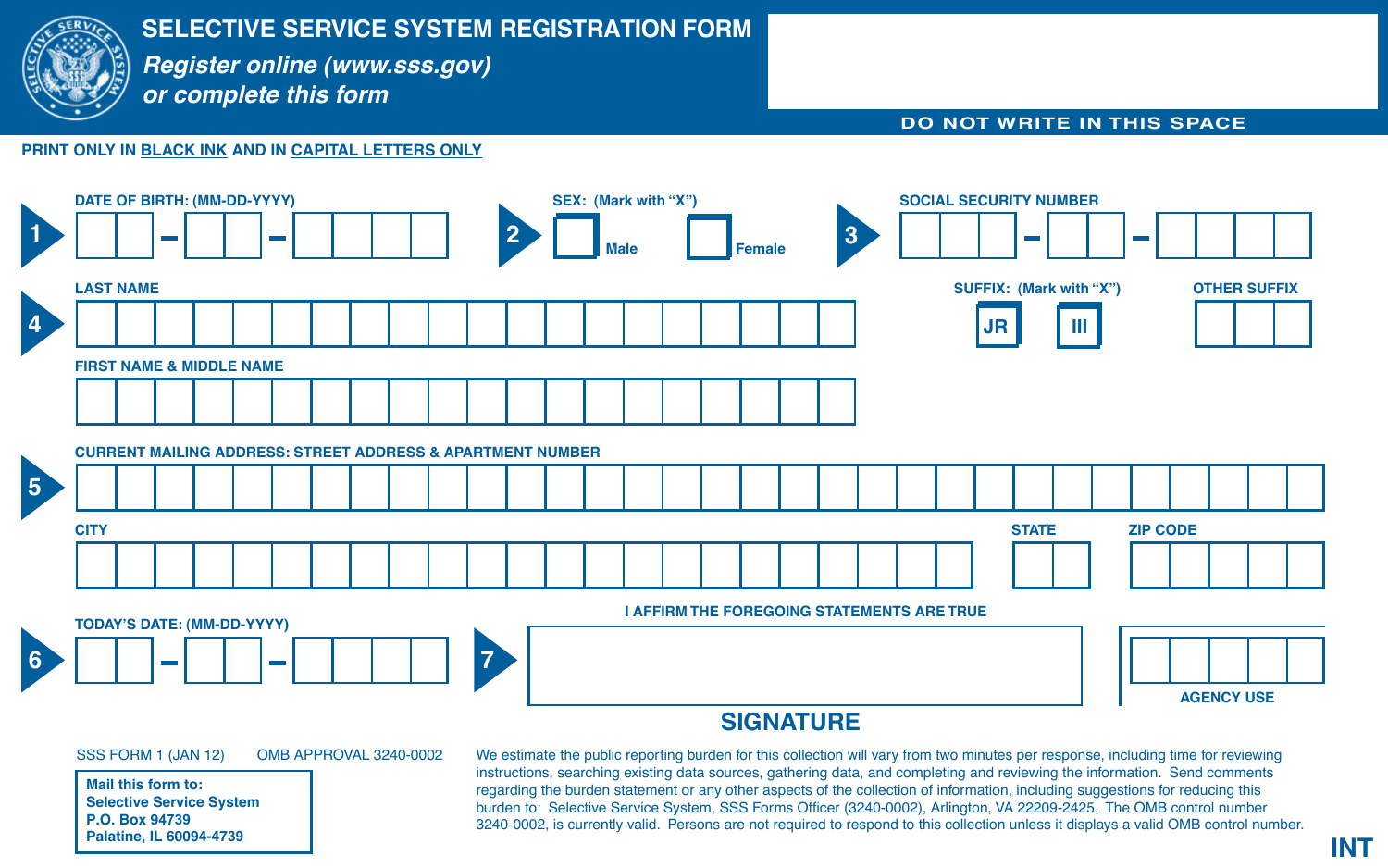

# **SELECTIVE SERVICE SYSTEM REGISTRATION FORM**

*Register online (www.sss.gov) or complete this form*

#### **DO NOT WRITE IN THIS SPACE**

### **PRINT ONLY IN BLACK INK AND IN CAPITAL LETTERS ONLY**



## **SIGNATURE**

SSS FORM 1 (JAN 12) OMB APPROVAL 3240-0002

**Mail this form to: Selective Service System P.O. Box 94739 Palatine, IL 60094-4739**

We estimate the public reporting burden for this collection will vary from two minutes per response, including time for reviewing instructions, searching existing data sources, gathering data, and completing and reviewing the information. Send comments regarding the burden statement or any other aspects of the collection of information, including suggestions for reducing this burden to: Selective Service System, SSS Forms Officer (3240-0002), Arlington, VA 22209-2425. The OMB control number 3240-0002, is currently valid. Persons are not required to respond to this collection unless it displays a valid OMB control number.